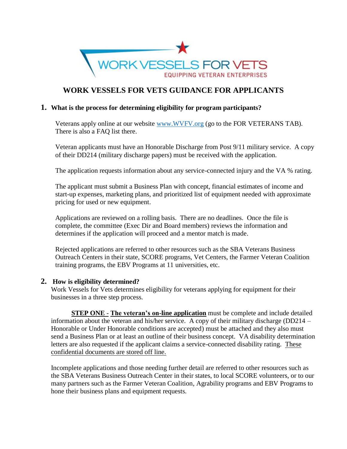

# **WORK VESSELS FOR VETS GUIDANCE FOR APPLICANTS**

#### **1. What is the process for determining eligibility for program participants?**

Veterans apply online at our website [www.WVFV.org](http://www.wvfv.org/) (go to the FOR VETERANS TAB). There is also a FAQ list there.

Veteran applicants must have an Honorable Discharge from Post 9/11 military service. A copy of their DD214 (military discharge papers) must be received with the application.

The application requests information about any service-connected injury and the VA % rating.

The applicant must submit a Business Plan with concept, financial estimates of income and start-up expenses, marketing plans, and prioritized list of equipment needed with approximate pricing for used or new equipment.

Applications are reviewed on a rolling basis. There are no deadlines. Once the file is complete, the committee (Exec Dir and Board members) reviews the information and determines if the application will proceed and a mentor match is made.

Rejected applications are referred to other resources such as the SBA Veterans Business Outreach Centers in their state, SCORE programs, Vet Centers, the Farmer Veteran Coalition training programs, the EBV Programs at 11 universities, etc.

#### **2. How is eligibility determined?**

Work Vessels for Vets determines eligibility for veterans applying for equipment for their businesses in a three step process.

**STEP ONE** - **The veteran's on-line application** must be complete and include detailed information about the veteran and his/her service. A copy of their military discharge (DD214 – Honorable or Under Honorable conditions are accepted) must be attached and they also must send a Business Plan or at least an outline of their business concept. VA disability determination letters are also requested if the applicant claims a service-connected disability rating. These confidential documents are stored off line.

Incomplete applications and those needing further detail are referred to other resources such as the SBA Veterans Business Outreach Center in their states, to local SCORE volunteers, or to our many partners such as the Farmer Veteran Coalition, Agrability programs and EBV Programs to hone their business plans and equipment requests.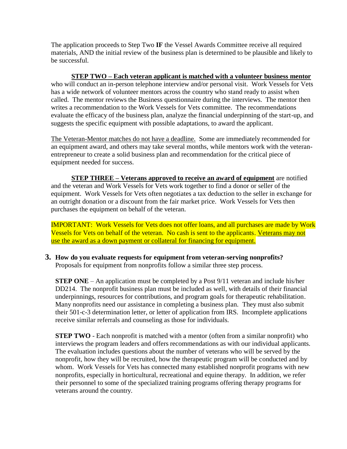The application proceeds to Step Two **IF** the Vessel Awards Committee receive all required materials, AND the initial review of the business plan is determined to be plausible and likely to be successful.

**STEP TWO – Each veteran applicant is matched with a volunteer business mentor** who will conduct an in-person telephone interview and/or personal visit. Work Vessels for Vets has a wide network of volunteer mentors across the country who stand ready to assist when called. The mentor reviews the Business questionnaire during the interviews. The mentor then writes a recommendation to the Work Vessels for Vets committee. The recommendations evaluate the efficacy of the business plan, analyze the financial underpinning of the start-up, and suggests the specific equipment with possible adaptations, to award the applicant.

The Veteran-Mentor matches do not have a deadline. Some are immediately recommended for an equipment award, and others may take several months, while mentors work with the veteranentrepreneur to create a solid business plan and recommendation for the critical piece of equipment needed for success.

**STEP THREE – Veterans approved to receive an award of equipment** are notified and the veteran and Work Vessels for Vets work together to find a donor or seller of the equipment. Work Vessels for Vets often negotiates a tax deduction to the seller in exchange for an outright donation or a discount from the fair market price. Work Vessels for Vets then purchases the equipment on behalf of the veteran.

IMPORTANT: Work Vessels for Vets does not offer loans, and all purchases are made by Work Vessels for Vets on behalf of the veteran. No cash is sent to the applicants. Veterans may not use the award as a down payment or collateral for financing for equipment.

**3. How do you evaluate requests for equipment from veteran-serving nonprofits?**  Proposals for equipment from nonprofits follow a similar three step process.

**STEP ONE** – An application must be completed by a Post 9/11 veteran and include his/her DD214. The nonprofit business plan must be included as well, with details of their financial underpinnings, resources for contributions, and program goals for therapeutic rehabilitation. Many nonprofits need our assistance in completing a business plan. They must also submit their 501-c-3 determination letter, or letter of application from IRS. Incomplete applications receive similar referrals and counseling as those for individuals.

**STEP TWO** - Each nonprofit is matched with a mentor (often from a similar nonprofit) who interviews the program leaders and offers recommendations as with our individual applicants. The evaluation includes questions about the number of veterans who will be served by the nonprofit, how they will be recruited, how the therapeutic program will be conducted and by whom. Work Vessels for Vets has connected many established nonprofit programs with new nonprofits, especially in horticultural, recreational and equine therapy. In addition, we refer their personnel to some of the specialized training programs offering therapy programs for veterans around the country.